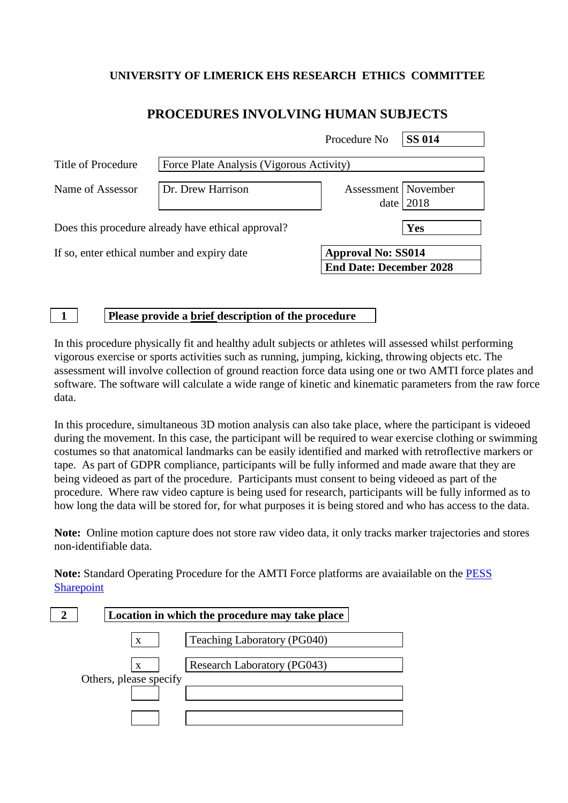## **UNIVERSITY OF LIMERICK EHS RESEARCH ETHICS COMMITTEE**

# **PROCEDURES INVOLVING HUMAN SUBJECTS**

|                                                    |                                          | Procedure No                                                | <b>SS 014</b> |  |
|----------------------------------------------------|------------------------------------------|-------------------------------------------------------------|---------------|--|
| Title of Procedure                                 | Force Plate Analysis (Vigorous Activity) |                                                             |               |  |
| Name of Assessor                                   | Dr. Drew Harrison                        | Assessment   November<br>date                               | 2018          |  |
| Does this procedure already have ethical approval? |                                          |                                                             | Yes           |  |
| If so, enter ethical number and expiry date        |                                          | <b>Approval No: SS014</b><br><b>End Date: December 2028</b> |               |  |

**1 Please provide a brief description of the procedure**

In this procedure physically fit and healthy adult subjects or athletes will assessed whilst performing vigorous exercise or sports activities such as running, jumping, kicking, throwing objects etc. The assessment will involve collection of ground reaction force data using one or two AMTI force plates and software. The software will calculate a wide range of kinetic and kinematic parameters from the raw force data.

In this procedure, simultaneous 3D motion analysis can also take place, where the participant is videoed during the movement. In this case, the participant will be required to wear exercise clothing or swimming costumes so that anatomical landmarks can be easily identified and marked with retroflective markers or tape. As part of GDPR compliance, participants will be fully informed and made aware that they are being videoed as part of the procedure. Participants must consent to being videoed as part of the procedure. Where raw video capture is being used for research, participants will be fully informed as to how long the data will be stored for, for what purposes it is being stored and who has access to the data.

**Note:** Online motion capture does not store raw video data, it only tracks marker trajectories and stores non-identifiable data.

**Note:** Standard Operating Procedure for the AMTI Force platforms are avaiailable on the [PESS](https://sharepoint.ul.ie/SiteDirectory/PESS/Health%20and%20Safety1/Standard%20Operating%20Procedures%20(SOPs)/Biomechanics%20Lab%20SOPs/AMTI%20force%20platforms_SOP%20v5.pdf)  **[Sharepoint](https://sharepoint.ul.ie/SiteDirectory/PESS/Health%20and%20Safety1/Standard%20Operating%20Procedures%20(SOPs)/Biomechanics%20Lab%20SOPs/AMTI%20force%20platforms_SOP%20v5.pdf)** 

|                        | Location in which the procedure may take place |
|------------------------|------------------------------------------------|
| X                      | Teaching Laboratory (PG040)                    |
| X                      | Research Laboratory (PG043)                    |
| Others, please specify |                                                |
|                        |                                                |
|                        |                                                |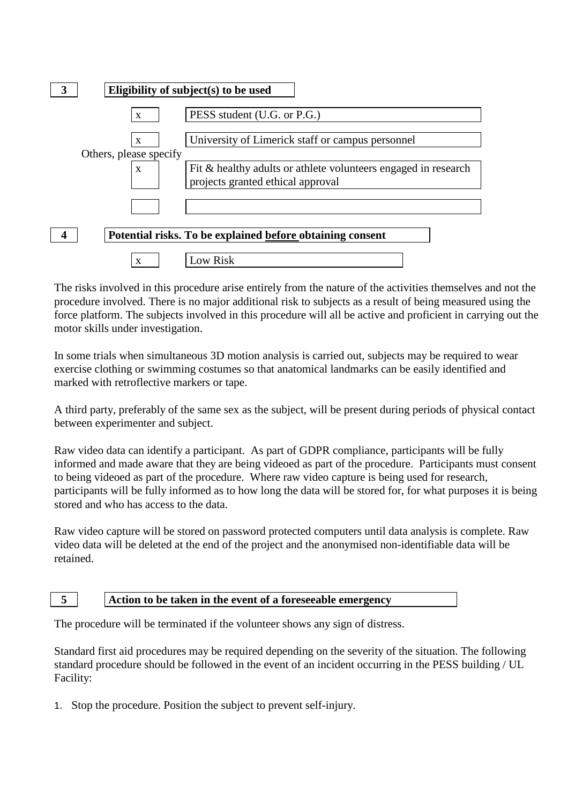

The risks involved in this procedure arise entirely from the nature of the activities themselves and not the procedure involved. There is no major additional risk to subjects as a result of being measured using the force platform. The subjects involved in this procedure will all be active and proficient in carrying out the motor skills under investigation.

In some trials when simultaneous 3D motion analysis is carried out, subjects may be required to wear exercise clothing or swimming costumes so that anatomical landmarks can be easily identified and marked with retroflective markers or tape.

A third party, preferably of the same sex as the subject, will be present during periods of physical contact between experimenter and subject.

Raw video data can identify a participant. As part of GDPR compliance, participants will be fully informed and made aware that they are being videoed as part of the procedure. Participants must consent to being videoed as part of the procedure. Where raw video capture is being used for research, participants will be fully informed as to how long the data will be stored for, for what purposes it is being stored and who has access to the data.

Raw video capture will be stored on password protected computers until data analysis is complete. Raw video data will be deleted at the end of the project and the anonymised non-identifiable data will be retained.

### **5 Action to be taken in the event of a foreseeable emergency**

The procedure will be terminated if the volunteer shows any sign of distress.

Standard first aid procedures may be required depending on the severity of the situation. The following standard procedure should be followed in the event of an incident occurring in the PESS building / UL Facility:

1. Stop the procedure. Position the subject to prevent self-injury.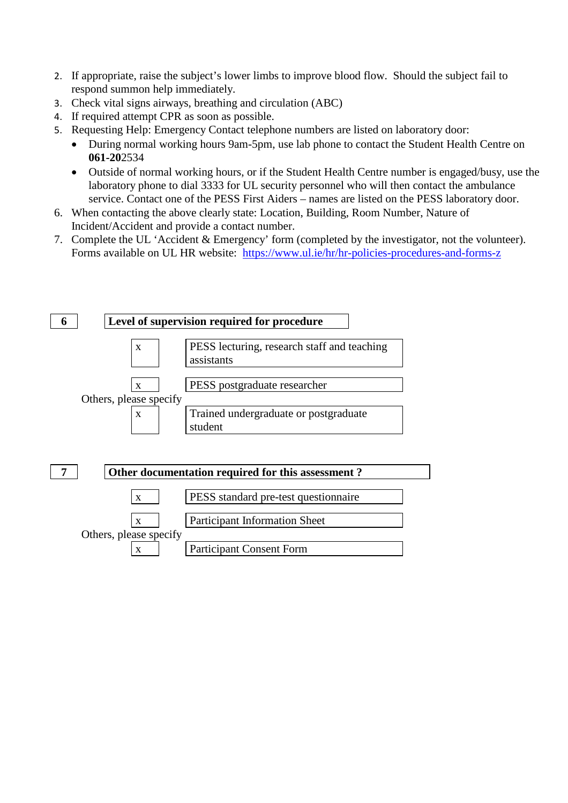- 2. If appropriate, raise the subject's lower limbs to improve blood flow. Should the subject fail to respond summon help immediately.
- 3. Check vital signs airways, breathing and circulation (ABC)
- 4. If required attempt CPR as soon as possible.
- 5. Requesting Help: Emergency Contact telephone numbers are listed on laboratory door:
	- During normal working hours 9am-5pm, use lab phone to contact the Student Health Centre on **061-20**2534
	- Outside of normal working hours, or if the Student Health Centre number is engaged/busy, use the laboratory phone to dial 3333 for UL security personnel who will then contact the ambulance service. Contact one of the PESS First Aiders – names are listed on the PESS laboratory door.
- 6. When contacting the above clearly state: Location, Building, Room Number, Nature of Incident/Accident and provide a contact number.
- 7. Complete the UL 'Accident & Emergency' form (completed by the investigator, not the volunteer). Forms available on UL HR website: <https://www.ul.ie/hr/hr-policies-procedures-and-forms-z>